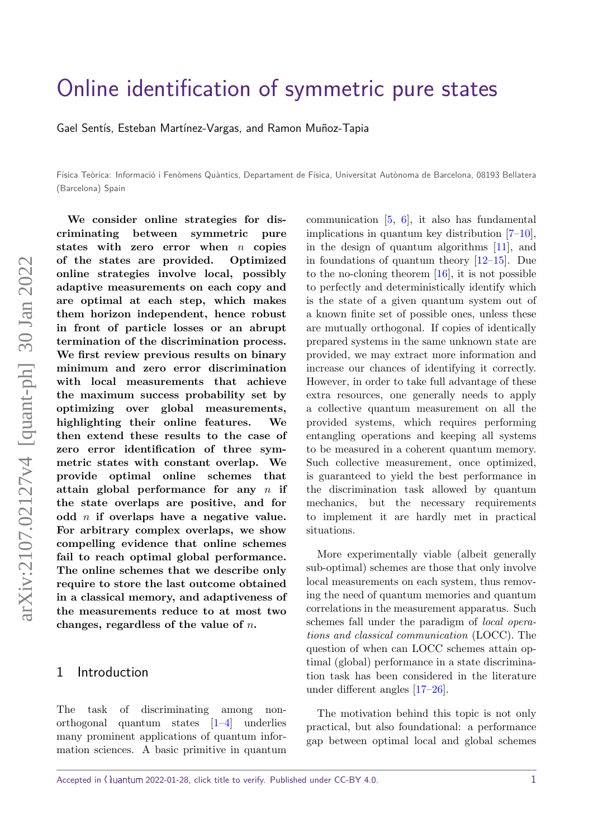# [Online identification of symmetric pure states](https://quantum-journal.org/?s=Online%20identification%20of%20symmetric%20pure%20states&reason=title-click)

Gael Sentís, Esteban Martínez-Vargas, and Ramon Muñoz-Tapia

Física Teòrica: Informació i Fenòmens Quàntics, Departament de Física, Universitat Autònoma de Barcelona, 08193 Bellatera (Barcelona) Spain

**We consider online strategies for discriminating between symmetric pure states with zero error when** *n* **copies of the states are provided. Optimized online strategies involve local, possibly adaptive measurements on each copy and are optimal at each step, which makes them horizon independent, hence robust in front of particle losses or an abrupt termination of the discrimination process. We first review previous results on binary minimum and zero error discrimination with local measurements that achieve the maximum success probability set by optimizing over global measurements, highlighting their online features. We then extend these results to the case of zero error identification of three symmetric states with constant overlap. We provide optimal online schemes that attain global performance for any** *n* **if the state overlaps are positive, and for odd** *n* **if overlaps have a negative value. For arbitrary complex overlaps, we show compelling evidence that online schemes fail to reach optimal global performance. The online schemes that we describe only require to store the last outcome obtained in a classical memory, and adaptiveness of the measurements reduce to at most two changes, regardless of the value of** *n***.**

#### 1 Introduction

The task of discriminating among nonorthogonal quantum states [\[1](#page-9-0)[–4\]](#page-9-1) underlies many prominent applications of quantum information sciences. A basic primitive in quantum

communication [\[5,](#page-9-2) [6\]](#page-9-3), it also has fundamental implications in quantum key distribution  $[7-10]$  $[7-10]$ , in the design of quantum algorithms [\[11\]](#page-9-6), and in foundations of quantum theory [\[12–](#page-9-7)[15\]](#page-10-0). Due to the no-cloning theorem [\[16\]](#page-10-1), it is not possible to perfectly and deterministically identify which is the state of a given quantum system out of a known finite set of possible ones, unless these are mutually orthogonal. If copies of identically prepared systems in the same unknown state are provided, we may extract more information and increase our chances of identifying it correctly. However, in order to take full advantage of these extra resources, one generally needs to apply a collective quantum measurement on all the provided systems, which requires performing entangling operations and keeping all systems to be measured in a coherent quantum memory. Such collective measurement, once optimized, is guaranteed to yield the best performance in the discrimination task allowed by quantum mechanics, but the necessary requirements to implement it are hardly met in practical situations.

More experimentally viable (albeit generally sub-optimal) schemes are those that only involve local measurements on each system, thus removing the need of quantum memories and quantum correlations in the measurement apparatus. Such schemes fall under the paradigm of local operations and classical communication (LOCC). The question of when can LOCC schemes attain optimal (global) performance in a state discrimination task has been considered in the literature under different angles [\[17–](#page-10-2)[26\]](#page-10-3).

The motivation behind this topic is not only practical, but also foundational: a performance gap between optimal local and global schemes

Accepted in  $\lambda$ uantum 2022-01-28, click title to verify. Published under CC-BY 4.0. 1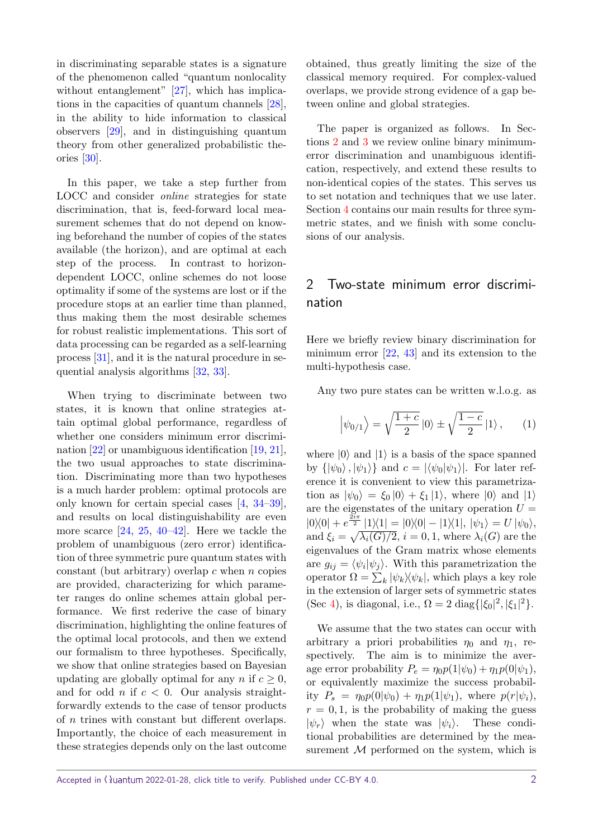in discriminating separable states is a signature of the phenomenon called "quantum nonlocality without entanglement" [\[27\]](#page-10-4), which has implications in the capacities of quantum channels [\[28\]](#page-10-5), in the ability to hide information to classical observers [\[29\]](#page-10-6), and in distinguishing quantum theory from other generalized probabilistic theories [\[30\]](#page-10-7).

In this paper, we take a step further from LOCC and consider online strategies for state discrimination, that is, feed-forward local measurement schemes that do not depend on knowing beforehand the number of copies of the states available (the horizon), and are optimal at each step of the process. In contrast to horizondependent LOCC, online schemes do not loose optimality if some of the systems are lost or if the procedure stops at an earlier time than planned, thus making them the most desirable schemes for robust realistic implementations. This sort of data processing can be regarded as a self-learning process [\[31\]](#page-10-8), and it is the natural procedure in sequential analysis algorithms [\[32,](#page-10-9) [33\]](#page-10-10).

When trying to discriminate between two states, it is known that online strategies attain optimal global performance, regardless of whether one considers minimum error discrimination [\[22\]](#page-10-11) or unambiguous identification [\[19,](#page-10-12) [21\]](#page-10-13), the two usual approaches to state discrimination. Discriminating more than two hypotheses is a much harder problem: optimal protocols are only known for certain special cases [\[4,](#page-9-1) [34–](#page-11-0)[39\]](#page-11-1), and results on local distinguishability are even more scarce [\[24,](#page-10-14) [25,](#page-10-15) [40](#page-11-2)[–42\]](#page-11-3). Here we tackle the problem of unambiguous (zero error) identification of three symmetric pure quantum states with constant (but arbitrary) overlap *c* when *n* copies are provided, characterizing for which parameter ranges do online schemes attain global performance. We first rederive the case of binary discrimination, highlighting the online features of the optimal local protocols, and then we extend our formalism to three hypotheses. Specifically, we show that online strategies based on Bayesian updating are globally optimal for any *n* if  $c \geq 0$ , and for odd *n* if *c <* 0. Our analysis straightforwardly extends to the case of tensor products of *n* trines with constant but different overlaps. Importantly, the choice of each measurement in these strategies depends only on the last outcome obtained, thus greatly limiting the size of the classical memory required. For complex-valued overlaps, we provide strong evidence of a gap between online and global strategies.

The paper is organized as follows. In Sections [2](#page-1-0) and [3](#page-3-0) we review online binary minimumerror discrimination and unambiguous identification, respectively, and extend these results to non-identical copies of the states. This serves us to set notation and techniques that we use later. Section [4](#page-5-0) contains our main results for three symmetric states, and we finish with some conclusions of our analysis.

# <span id="page-1-0"></span>2 Two-state minimum error discrimination

Here we briefly review binary discrimination for minimum error [\[22,](#page-10-11) [43\]](#page-11-4) and its extension to the multi-hypothesis case.

Any two pure states can be written w.l.o.g. as

<span id="page-1-1"></span>
$$
\left|\psi_{0/1}\right\rangle = \sqrt{\frac{1+c}{2}}\left|0\right\rangle \pm \sqrt{\frac{1-c}{2}}\left|1\right\rangle, \qquad (1)
$$

where  $|0\rangle$  and  $|1\rangle$  is a basis of the space spanned by  $\{|\psi_0\rangle, |\psi_1\rangle\}$  and  $c = |\langle \psi_0|\psi_1\rangle|$ . For later reference it is convenient to view this parametrization as  $|\psi_0\rangle = \xi_0 |0\rangle + \xi_1 |1\rangle$ , where  $|0\rangle$  and  $|1\rangle$ are the eigenstates of the unitary operation  $U =$  $|0\rangle\langle 0| + e^{\frac{2i\pi}{2}} |1\rangle\langle 1| = |0\rangle\langle 0| - |1\rangle\langle 1|, |\psi_1\rangle = U |\psi_0\rangle,$ and  $\xi_i = \sqrt{\lambda_i(G)/2}$ ,  $i = 0, 1$ , where  $\lambda_i(G)$  are the eigenvalues of the Gram matrix whose elements are  $g_{ij} = \langle \psi_i | \psi_j \rangle$ . With this parametrization the operator  $\Omega = \sum_{k} |\psi_{k}\rangle\langle\psi_{k}|$ , which plays a key role in the extension of larger sets of symmetric states (Sec [4\)](#page-5-0), is diagonal, i.e.,  $\Omega = 2 \text{ diag} \{ |\xi_0|^2, |\xi_1|^2 \}.$ 

We assume that the two states can occur with arbitrary a priori probabilities  $\eta_0$  and  $\eta_1$ , respectively. The aim is to minimize the average error probability  $P_e = \eta_0 p(1|\psi_0) + \eta_1 p(0|\psi_1),$ or equivalently maximize the success probability  $P_s = \eta_0 p(0|\psi_0) + \eta_1 p(1|\psi_1)$ , where  $p(r|\psi_i)$ ,  $r = 0, 1$ , is the probability of making the guess  $|\psi_r\rangle$  when the state was  $|\psi_i\rangle$ . These conditional probabilities are determined by the measurement  $M$  performed on the system, which is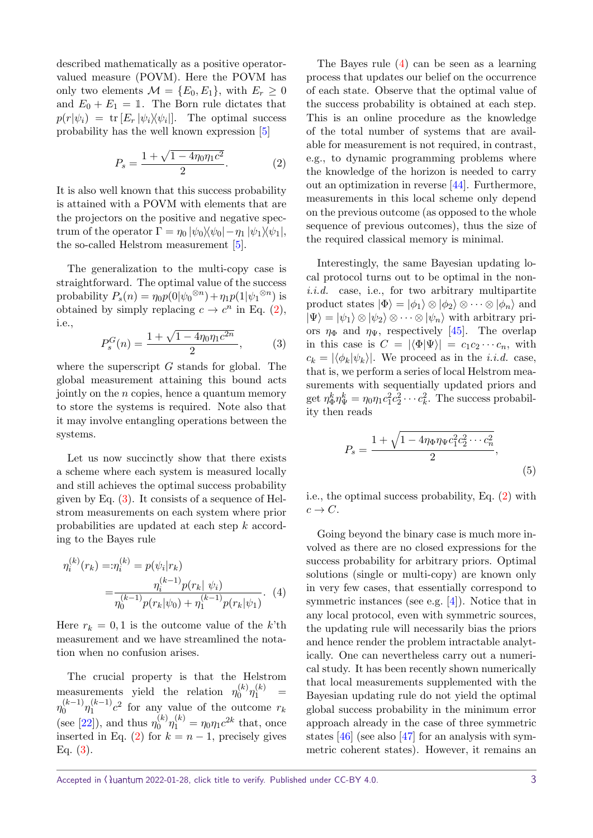described mathematically as a positive operatorvalued measure (POVM). Here the POVM has only two elements  $\mathcal{M} = \{E_0, E_1\}$ , with  $E_r \geq 0$ and  $E_0 + E_1 = \mathbb{1}$ . The Born rule dictates that  $p(r|\psi_i) = \text{tr}[E_r |\psi_i\rangle \langle \psi_i|].$  The optimal success probability has the well known expression [\[5\]](#page-9-2)

<span id="page-2-0"></span>
$$
P_s = \frac{1 + \sqrt{1 - 4\eta_0 \eta_1 c^2}}{2}.
$$
 (2)

It is also well known that this success probability is attained with a POVM with elements that are the projectors on the positive and negative spectrum of the operator  $\Gamma = \eta_0 |\psi_0\rangle\langle\psi_0| - \eta_1 |\psi_1\rangle\langle\psi_1|,$ the so-called Helstrom measurement [\[5\]](#page-9-2).

The generalization to the multi-copy case is straightforward. The optimal value of the success probability  $P_s(n) = \eta_0 p(0|\psi_0^{\otimes n}) + \eta_1 p(1|\psi_1^{\otimes n})$  is obtained by simply replacing  $c \to c^n$  in Eq. [\(2\)](#page-2-0), i.e.,

<span id="page-2-1"></span>
$$
P_s^G(n) = \frac{1 + \sqrt{1 - 4\eta_0 \eta_1 c^{2n}}}{2},\tag{3}
$$

where the superscript *G* stands for global. The global measurement attaining this bound acts jointly on the *n* copies, hence a quantum memory to store the systems is required. Note also that it may involve entangling operations between the systems.

Let us now succinctly show that there exists a scheme where each system is measured locally and still achieves the optimal success probability given by Eq.  $(3)$ . It consists of a sequence of Helstrom measurements on each system where prior probabilities are updated at each step *k* according to the Bayes rule

$$
\eta_i^{(k)}(r_k) =: \eta_i^{(k)} = p(\psi_i | r_k)
$$
  
= 
$$
\frac{\eta_i^{(k-1)} p(r_k | \psi_i)}{\eta_0^{(k-1)} p(r_k | \psi_0) + \eta_1^{(k-1)} p(r_k | \psi_1)}.
$$
 (4)

Here  $r_k = 0, 1$  is the outcome value of the *k*'th measurement and we have streamlined the notation when no confusion arises.

The crucial property is that the Helstrom measurements yield the relation  $\eta_0^{(k)}$  $\eta_0^{(k)}\eta_1^{(k)}$  = *η* (*k*−1)  $\eta_0^{(k-1)}\eta_1^{(k-1)}$  $\int_{1}^{(k-1)} c^2$  for any value of the outcome  $r_k$ (see [\[22\]](#page-10-11)), and thus  $\eta_0^{(k)}$  $\eta_0^{(k)} \eta_1^{(k)} = \eta_0 \eta_1 c^{2k}$  that, once inserted in Eq. [\(2\)](#page-2-0) for  $k = n - 1$ , precisely gives Eq.  $(3)$ .

The Bayes rule [\(4\)](#page-2-2) can be seen as a learning process that updates our belief on the occurrence of each state. Observe that the optimal value of the success probability is obtained at each step. This is an online procedure as the knowledge of the total number of systems that are available for measurement is not required, in contrast, e.g., to dynamic programming problems where the knowledge of the horizon is needed to carry out an optimization in reverse [\[44\]](#page-11-5). Furthermore, measurements in this local scheme only depend on the previous outcome (as opposed to the whole sequence of previous outcomes), thus the size of the required classical memory is minimal.

Interestingly, the same Bayesian updating local protocol turns out to be optimal in the noni.i.d. case, i.e., for two arbitrary multipartite product states  $|\Phi\rangle = |\phi_1\rangle \otimes |\phi_2\rangle \otimes \cdots \otimes |\phi_n\rangle$  and  $|\Psi\rangle = |\psi_1\rangle \otimes |\psi_2\rangle \otimes \cdots \otimes |\psi_n\rangle$  with arbitrary priors  $\eta_{\Phi}$  and  $\eta_{\Psi}$ , respectively [\[45\]](#page-11-6). The overlap in this case is  $C = |\langle \Phi | \Psi \rangle| = c_1 c_2 \cdots c_n$ , with  $c_k = |\langle \phi_k | \psi_k \rangle|$ . We proceed as in the *i.i.d.* case, that is, we perform a series of local Helstrom measurements with sequentially updated priors and get  $\eta_{\Phi}^k \eta_{\Psi}^k = \eta_0 \eta_1 c_1^2 c_2^2 \cdots c_k^2$ . The success probability then reads

$$
P_s = \frac{1 + \sqrt{1 - 4\eta_{\Phi}\eta_{\Psi}c_1^2c_2^2 \cdots c_n^2}}{2},\tag{5}
$$

i.e., the optimal success probability, Eq. [\(2\)](#page-2-0) with  $c \rightarrow C$ .

<span id="page-2-2"></span>Going beyond the binary case is much more involved as there are no closed expressions for the success probability for arbitrary priors. Optimal solutions (single or multi-copy) are known only in very few cases, that essentially correspond to symmetric instances (see e.g. [\[4\]](#page-9-1)). Notice that in any local protocol, even with symmetric sources, the updating rule will necessarily bias the priors and hence render the problem intractable analytically. One can nevertheless carry out a numerical study. It has been recently shown numerically that local measurements supplemented with the Bayesian updating rule do not yield the optimal global success probability in the minimum error approach already in the case of three symmetric states [\[46\]](#page-11-7) (see also [\[47\]](#page-11-8) for an analysis with symmetric coherent states). However, it remains an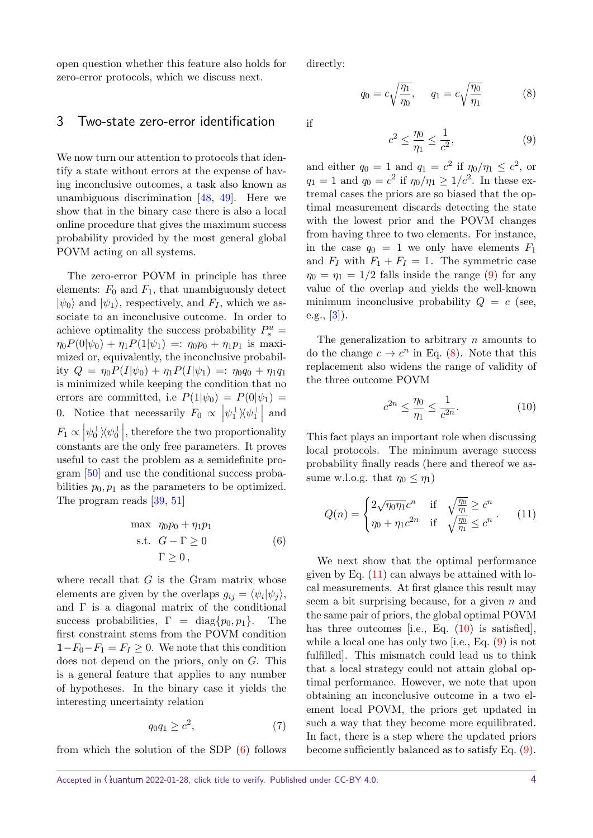open question whether this feature also holds for zero-error protocols, which we discuss next.

### <span id="page-3-0"></span>3 Two-state zero-error identification

We now turn our attention to protocols that identify a state without errors at the expense of having inconclusive outcomes, a task also known as unambiguous discrimination [\[48,](#page-11-9) [49\]](#page-11-10). Here we show that in the binary case there is also a local online procedure that gives the maximum success probability provided by the most general global POVM acting on all systems.

The zero-error POVM in principle has three elements:  $F_0$  and  $F_1$ , that unambiguously detect  $|\psi_0\rangle$  and  $|\psi_1\rangle$ , respectively, and  $F_I$ , which we associate to an inconclusive outcome. In order to achieve optimality the success probability  $P_s^u$  =  $\eta_0 P(0|\psi_0) + \eta_1 P(1|\psi_1) =: \eta_0 p_0 + \eta_1 p_1$  is maximized or, equivalently, the inconclusive probability  $Q = \eta_0 P(I|\psi_0) + \eta_1 P(I|\psi_1) =: \eta_0 q_0 + \eta_1 q_1$ is minimized while keeping the condition that no errors are committed, i.e  $P(1|\psi_0) = P(0|\psi_1) =$ 0. Notice that necessarily  $F_0 \propto |\psi_1^{\perp}\rangle\langle\psi_1^{\perp}|$  and *F*<sup>1</sup> ∝   *ψ* ⊥ 0 ih*ψ* ⊥ 0   , therefore the two proportionality constants are the only free parameters. It proves useful to cast the problem as a semidefinite program [\[50\]](#page-11-11) and use the conditional success probabilities  $p_0, p_1$  as the parameters to be optimized. The program reads [\[39,](#page-11-1) [51\]](#page-11-12)

$$
\begin{aligned}\n\max \quad & \eta_0 p_0 + \eta_1 p_1 \\
\text{s.t.} \quad & G - \Gamma \ge 0 \\
& \Gamma \ge 0\n\end{aligned}\n\tag{6}
$$

<span id="page-3-1"></span>where recall that *G* is the Gram matrix whose elements are given by the overlaps  $g_{ij} = \langle \psi_i | \psi_j \rangle$ , and  $\Gamma$  is a diagonal matrix of the conditional success probabilities,  $\Gamma = \text{diag}\{p_0, p_1\}$ . The first constraint stems from the POVM condition  $1-F_0-F_1 = F_I \geq 0$ . We note that this condition does not depend on the priors, only on *G*. This is a general feature that applies to any number of hypotheses. In the binary case it yields the interesting uncertainty relation

$$
q_0 q_1 \ge c^2,\tag{7}
$$

from which the solution of the SDP  $(6)$  follows

directly:

if

<span id="page-3-3"></span>
$$
q_0 = c\sqrt{\frac{\eta_1}{\eta_0}}, \qquad q_1 = c\sqrt{\frac{\eta_0}{\eta_1}} \tag{8}
$$

*c* 2

<span id="page-3-2"></span>
$$
c^2 \le \frac{\eta_0}{\eta_1} \le \frac{1}{c^2},\tag{9}
$$

and either  $q_0 = 1$  and  $q_1 = c^2$  if  $\eta_0/\eta_1 \leq c^2$ , or  $q_1 = 1$  and  $q_0 = c^2$  if  $\eta_0/\eta_1 \geq 1/c^2$ . In these extremal cases the priors are so biased that the optimal measurement discards detecting the state with the lowest prior and the POVM changes from having three to two elements. For instance, in the case  $q_0 = 1$  we only have elements  $F_1$ and  $F_I$  with  $F_1 + F_I = 1$ . The symmetric case  $\eta_0 = \eta_1 = 1/2$  falls inside the range [\(9\)](#page-3-2) for any value of the overlap and yields the well-known minimum inconclusive probability  $Q = c$  (see, e.g.,  $[3]$ .

The generalization to arbitrary *n* amounts to do the change  $c \to c^n$  in Eq. [\(8\)](#page-3-3). Note that this replacement also widens the range of validity of the three outcome POVM

<span id="page-3-5"></span>
$$
c^{2n} \le \frac{\eta_0}{\eta_1} \le \frac{1}{c^{2n}}.\tag{10}
$$

This fact plays an important role when discussing local protocols. The minimum average success probability finally reads (here and thereof we assume w.l.o.g. that  $\eta_0 \leq \eta_1$ )

<span id="page-3-4"></span>
$$
Q(n) = \begin{cases} 2\sqrt{\eta_0 \eta_1} c^n & \text{if } \sqrt{\frac{\eta_0}{\eta_1}} \ge c^n \\ \eta_0 + \eta_1 c^{2n} & \text{if } \sqrt{\frac{\eta_0}{\eta_1}} \le c^n \end{cases} (11)
$$

We next show that the optimal performance given by Eq.  $(11)$  can always be attained with local measurements. At first glance this result may seem a bit surprising because, for a given *n* and the same pair of priors, the global optimal POVM has three outcomes [i.e., Eq.  $(10)$  is satisfied], while a local one has only two [i.e., Eq. [\(9\)](#page-3-2) is not fulfilled]. This mismatch could lead us to think that a local strategy could not attain global optimal performance. However, we note that upon obtaining an inconclusive outcome in a two element local POVM, the priors get updated in such a way that they become more equilibrated. In fact, there is a step where the updated priors become sufficiently balanced as to satisfy Eq. [\(9\)](#page-3-2).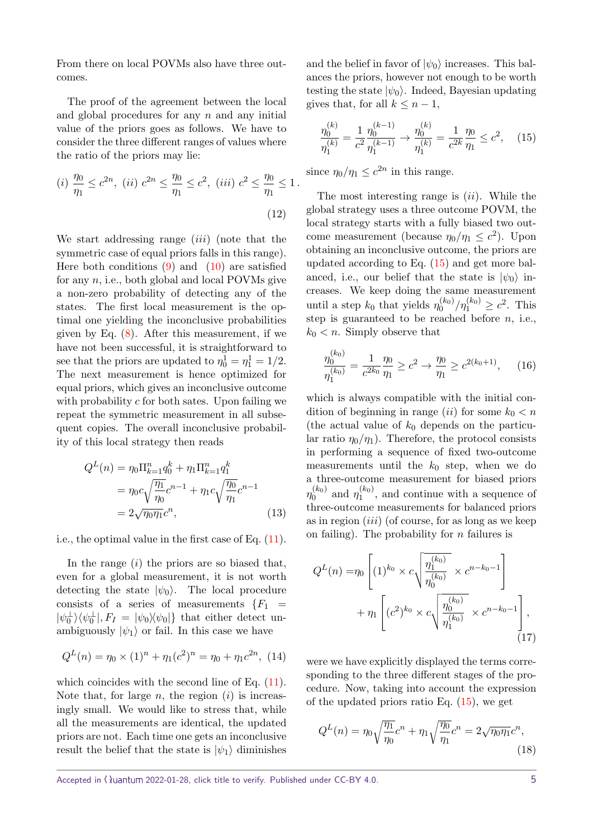From there on local POVMs also have three outcomes.

The proof of the agreement between the local and global procedures for any *n* and any initial value of the priors goes as follows. We have to consider the three different ranges of values where the ratio of the priors may lie:

(i) 
$$
\frac{\eta_0}{\eta_1} \le c^{2n}
$$
, (ii)  $c^{2n} \le \frac{\eta_0}{\eta_1} \le c^2$ , (iii)  $c^2 \le \frac{\eta_0}{\eta_1} \le 1$ .  
(12)

We start addressing range (*iii*) (note that the symmetric case of equal priors falls in this range). Here both conditions  $(9)$  and  $(10)$  are satisfied for any *n*, i.e., both global and local POVMs give a non-zero probability of detecting any of the states. The first local measurement is the optimal one yielding the inconclusive probabilities given by Eq. [\(8\)](#page-3-3). After this measurement, if we have not been successful, it is straightforward to see that the priors are updated to  $\eta_0^1 = \eta_1^1 = 1/2$ . The next measurement is hence optimized for equal priors, which gives an inconclusive outcome with probability *c* for both sates. Upon failing we repeat the symmetric measurement in all subsequent copies. The overall inconclusive probability of this local strategy then reads

$$
Q^{L}(n) = \eta_0 \Pi_{k=1}^{n} q_0^{k} + \eta_1 \Pi_{k=1}^{n} q_1^{k}
$$
  
= 
$$
\eta_0 c \sqrt{\frac{\eta_1}{\eta_0}} c^{n-1} + \eta_1 c \sqrt{\frac{\eta_0}{\eta_1}} c^{n-1}
$$
  
= 
$$
2 \sqrt{\eta_0 \eta_1} c^{n},
$$
 (13)

i.e., the optimal value in the first case of Eq. [\(11\)](#page-3-4).

In the range (*i*) the priors are so biased that, even for a global measurement, it is not worth detecting the state  $|\psi_0\rangle$ . The local procedure consists of a series of measurements  ${F_1}$  =  $|\psi_0^{\perp}\rangle\langle\psi_0^{\perp}|, F_I = |\psi_0\rangle\langle\psi_0|$ } that either detect unambiguously  $|\psi_1\rangle$  or fail. In this case we have

$$
Q^{L}(n) = \eta_0 \times (1)^{n} + \eta_1 (c^2)^{n} = \eta_0 + \eta_1 c^{2n}, \tag{14}
$$

which coincides with the second line of Eq.  $(11)$ . Note that, for large  $n$ , the region  $(i)$  is increasingly small. We would like to stress that, while all the measurements are identical, the updated priors are not. Each time one gets an inconclusive result the belief that the state is  $|\psi_1\rangle$  diminishes

and the belief in favor of  $|\psi_0\rangle$  increases. This balances the priors, however not enough to be worth testing the state  $|\psi_0\rangle$ . Indeed, Bayesian updating gives that, for all  $k \leq n-1$ ,

<span id="page-4-0"></span>
$$
\frac{\eta_0^{(k)}}{\eta_1^{(k)}} = \frac{1}{c^2} \frac{\eta_0^{(k-1)}}{\eta_1^{(k-1)}} \to \frac{\eta_0^{(k)}}{\eta_1^{(k)}} = \frac{1}{c^{2k}} \frac{\eta_0}{\eta_1} \le c^2, \quad (15)
$$

since  $\eta_0/\eta_1 \leq c^{2n}$  in this range.

The most interesting range is (*ii*). While the global strategy uses a three outcome POVM, the local strategy starts with a fully biased two outcome measurement (because  $\eta_0/\eta_1 \leq c^2$ ). Upon obtaining an inconclusive outcome, the priors are updated according to Eq. [\(15\)](#page-4-0) and get more balanced, i.e., our belief that the state is  $|\psi_0\rangle$  increases. We keep doing the same measurement until a step  $k_0$  that yields  $\eta_0^{(k_0)}$  $\eta_0^{(k_0)}/\eta_1^{(k_0)} \ge c^2$ . This step is guaranteed to be reached before *n*, i.e.,  $k_0 < n$ . Simply observe that

$$
\frac{\eta_0^{(k_0)}}{\eta_1^{(k_0)}} = \frac{1}{c^{2k_0}} \frac{\eta_0}{\eta_1} \ge c^2 \to \frac{\eta_0}{\eta_1} \ge c^{2(k_0+1)},\qquad(16)
$$

which is always compatible with the initial condition of beginning in range (*ii*) for some  $k_0 < n$ (the actual value of *k*<sup>0</sup> depends on the particular ratio  $\eta_0/\eta_1$ ). Therefore, the protocol consists in performing a sequence of fixed two-outcome measurements until the  $k_0$  step, when we do a three-outcome measurement for biased priors  $η_0^{(k_0)}$  $n_0^{(k_0)}$  and  $n_1^{(k_0)}$  $\eta_1^{(k_0)}$ , and continue with a sequence of three-outcome measurements for balanced priors as in region (*iii*) (of course, for as long as we keep on failing). The probability for *n* failures is

$$
Q^{L}(n) = \eta_0 \left[ (1)^{k_0} \times c \sqrt{\frac{\eta_1^{(k_0)}}{\eta_0^{(k_0)}}} \times c^{n-k_0-1} \right] + \eta_1 \left[ (c^2)^{k_0} \times c \sqrt{\frac{\eta_0^{(k_0)}}{\eta_1^{(k_0)}}} \times c^{n-k_0-1} \right],
$$
\n(17)

were we have explicitly displayed the terms corresponding to the three different stages of the procedure. Now, taking into account the expression of the updated priors ratio Eq.  $(15)$ , we get

$$
Q^{L}(n) = \eta_0 \sqrt{\frac{\eta_1}{\eta_0}} c^n + \eta_1 \sqrt{\frac{\eta_0}{\eta_1}} c^n = 2\sqrt{\eta_0 \eta_1} c^n,
$$
\n(18)

Accepted in  $\lambda$ uantum 2022-01-28, click title to verify. Published under CC-BY 4.0.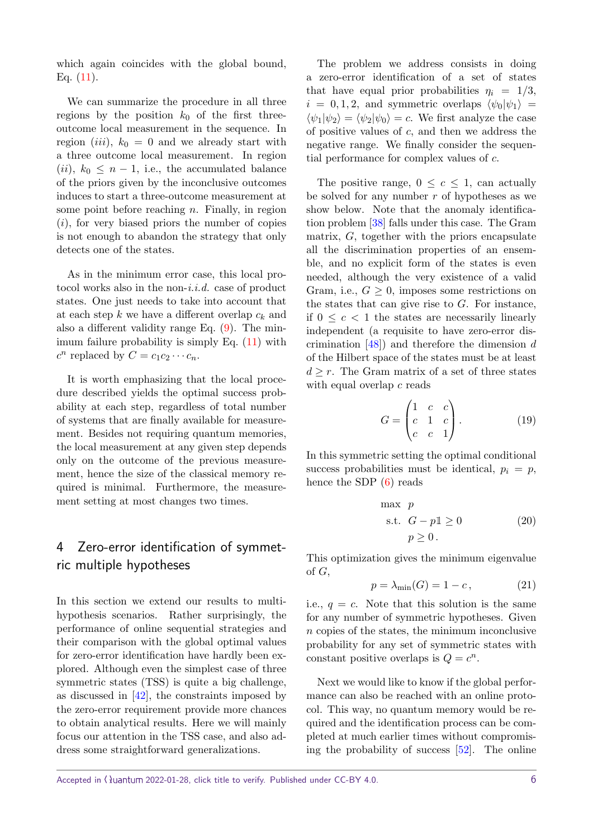which again coincides with the global bound, Eq. [\(11\)](#page-3-4).

We can summarize the procedure in all three regions by the position  $k_0$  of the first threeoutcome local measurement in the sequence. In region *(iii)*,  $k_0 = 0$  and we already start with a three outcome local measurement. In region (*ii*),  $k_0 \leq n-1$ , i.e., the accumulated balance of the priors given by the inconclusive outcomes induces to start a three-outcome measurement at some point before reaching *n*. Finally, in region (*i*), for very biased priors the number of copies is not enough to abandon the strategy that only detects one of the states.

As in the minimum error case, this local protocol works also in the non-i.i.d. case of product states. One just needs to take into account that at each step *k* we have a different overlap *c<sup>k</sup>* and also a different validity range Eq. [\(9\)](#page-3-2). The minimum failure probability is simply Eq.  $(11)$  with  $c^n$  replaced by  $C = c_1 c_2 \cdots c_n$ .

It is worth emphasizing that the local procedure described yields the optimal success probability at each step, regardless of total number of systems that are finally available for measurement. Besides not requiring quantum memories, the local measurement at any given step depends only on the outcome of the previous measurement, hence the size of the classical memory required is minimal. Furthermore, the measurement setting at most changes two times.

# <span id="page-5-0"></span>4 Zero-error identification of symmetric multiple hypotheses

In this section we extend our results to multihypothesis scenarios. Rather surprisingly, the performance of online sequential strategies and their comparison with the global optimal values for zero-error identification have hardly been explored. Although even the simplest case of three symmetric states (TSS) is quite a big challenge, as discussed in [\[42\]](#page-11-3), the constraints imposed by the zero-error requirement provide more chances to obtain analytical results. Here we will mainly focus our attention in the TSS case, and also address some straightforward generalizations.

The problem we address consists in doing a zero-error identification of a set of states that have equal prior probabilities  $\eta_i = 1/3$ ,  $i = 0, 1, 2$ , and symmetric overlaps  $\langle \psi_0 | \psi_1 \rangle$  =  $\langle \psi_1 | \psi_2 \rangle = \langle \psi_2 | \psi_0 \rangle = c$ . We first analyze the case of positive values of *c*, and then we address the negative range. We finally consider the sequential performance for complex values of *c*.

The positive range,  $0 \leq c \leq 1$ , can actually be solved for any number *r* of hypotheses as we show below. Note that the anomaly identification problem [\[38\]](#page-11-13) falls under this case. The Gram matrix, *G*, together with the priors encapsulate all the discrimination properties of an ensemble, and no explicit form of the states is even needed, although the very existence of a valid Gram, i.e.,  $G \geq 0$ , imposes some restrictions on the states that can give rise to *G*. For instance, if  $0 \leq c < 1$  the states are necessarily linearly independent (a requisite to have zero-error discrimination [\[48\]](#page-11-9)) and therefore the dimension *d* of the Hilbert space of the states must be at least  $d \geq r$ . The Gram matrix of a set of three states with equal overlap *c* reads

$$
G = \begin{pmatrix} 1 & c & c \\ c & 1 & c \\ c & c & 1 \end{pmatrix} . \tag{19}
$$

In this symmetric setting the optimal conditional success probabilities must be identical,  $p_i = p$ , hence the SDP [\(6\)](#page-3-1) reads

$$
\begin{array}{ll}\n\max & p \\
\text{s.t.} & G - p1 \ge 0 \\
& p \ge 0\n\end{array} \tag{20}
$$

<span id="page-5-2"></span>This optimization gives the minimum eigenvalue of *G*,

<span id="page-5-1"></span>
$$
p = \lambda_{\min}(G) = 1 - c,\tag{21}
$$

i.e.,  $q = c$ . Note that this solution is the same for any number of symmetric hypotheses. Given *n* copies of the states, the minimum inconclusive probability for any set of symmetric states with constant positive overlaps is  $Q = c^n$ .

Next we would like to know if the global performance can also be reached with an online protocol. This way, no quantum memory would be required and the identification process can be completed at much earlier times without compromising the probability of success [\[52\]](#page-11-14). The online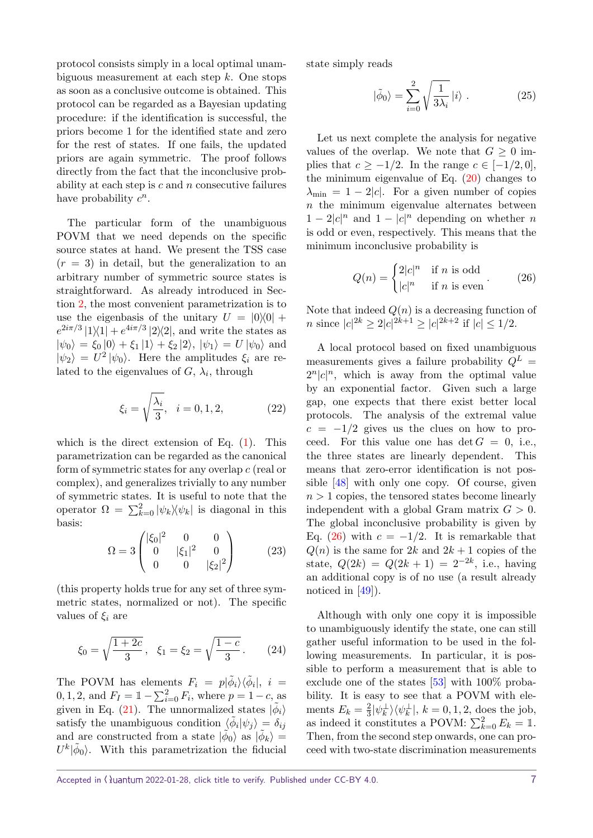protocol consists simply in a local optimal unambiguous measurement at each step *k*. One stops as soon as a conclusive outcome is obtained. This protocol can be regarded as a Bayesian updating procedure: if the identification is successful, the priors become 1 for the identified state and zero for the rest of states. If one fails, the updated priors are again symmetric. The proof follows directly from the fact that the inconclusive probability at each step is *c* and *n* consecutive failures have probability  $c^n$ .

The particular form of the unambiguous POVM that we need depends on the specific source states at hand. We present the TSS case  $(r = 3)$  in detail, but the generalization to an arbitrary number of symmetric source states is straightforward. As already introduced in Section [2,](#page-1-0) the most convenient parametrization is to use the eigenbasis of the unitary  $U = |0\rangle\langle 0| +$  $e^{2i\pi/3}$  |1 $\vert$ 1| +  $e^{4i\pi/3}$  |2 $\vert$ 2|, and write the states as  $|\psi_0\rangle = \xi_0 |0\rangle + \xi_1 |1\rangle + \xi_2 |2\rangle, |\psi_1\rangle = U |\psi_0\rangle$  and  $|\psi_2\rangle = U^2 |\psi_0\rangle$ . Here the amplitudes  $\xi_i$  are related to the eigenvalues of  $G$ ,  $\lambda_i$ , through

$$
\xi_i = \sqrt{\frac{\lambda_i}{3}}, \quad i = 0, 1, 2,
$$
\n(22)

which is the direct extension of Eq.  $(1)$ . This parametrization can be regarded as the canonical form of symmetric states for any overlap *c* (real or complex), and generalizes trivially to any number of symmetric states. It is useful to note that the operator  $\Omega = \sum_{k=0}^{2} |\psi_k\rangle\!\langle \psi_k|$  is diagonal in this basis:

<span id="page-6-2"></span>
$$
\Omega = 3 \begin{pmatrix} |\xi_0|^2 & 0 & 0 \\ 0 & |\xi_1|^2 & 0 \\ 0 & 0 & |\xi_2|^2 \end{pmatrix}
$$
 (23)

(this property holds true for any set of three symmetric states, normalized or not). The specific values of  $\xi_i$  are

$$
\xi_0 = \sqrt{\frac{1+2c}{3}}, \quad \xi_1 = \xi_2 = \sqrt{\frac{1-c}{3}}.
$$
 (24)

The POVM has elements  $F_i = p|\tilde{\phi}_i\rangle\langle\tilde{\phi}_i|, i =$ 0, 1, 2, and  $F_I = 1 - \sum_{i=0}^{2} F_i$ , where  $p = 1 - c$ , as given in Eq. [\(21\)](#page-5-1). The unnormalized states  $|\tilde{\phi}_i\rangle$ satisfy the unambiguous condition  $\langle \phi_i | \psi_j \rangle = \delta_{ij}$ and are constructed from a state  $|\phi_0\rangle$  as  $|\phi_k\rangle =$  $U^k|\tilde{\phi}_0\rangle$ . With this parametrization the fiducial state simply reads

<span id="page-6-1"></span>
$$
|\tilde{\phi}_0\rangle = \sum_{i=0}^{2} \sqrt{\frac{1}{3\lambda_i}} |i\rangle . \qquad (25)
$$

Let us next complete the analysis for negative values of the overlap. We note that  $G \geq 0$  implies that  $c \geq -1/2$ . In the range  $c \in [-1/2, 0]$ , the minimum eigenvalue of Eq.  $(20)$  changes to  $\lambda_{\min} = 1 - 2|c|$ . For a given number of copies *n* the minimum eigenvalue alternates between  $1 - 2|c|^n$  and  $1 - |c|^n$  depending on whether *n* is odd or even, respectively. This means that the minimum inconclusive probability is

<span id="page-6-0"></span>
$$
Q(n) = \begin{cases} 2|c|^n & \text{if } n \text{ is odd} \\ |c|^n & \text{if } n \text{ is even} \end{cases} . \tag{26}
$$

Note that indeed  $Q(n)$  is a decreasing function of *n* since  $|c|^{2k} \ge 2|c|^{2k+1} \ge |c|^{2k+2}$  if  $|c| \le 1/2$ .

A local protocol based on fixed unambiguous measurements gives a failure probability  $Q^L$  $2^n |c|^n$ , which is away from the optimal value by an exponential factor. Given such a large gap, one expects that there exist better local protocols. The analysis of the extremal value  $c = -1/2$  gives us the clues on how to proceed. For this value one has  $\det G = 0$ , i.e., the three states are linearly dependent. This means that zero-error identification is not possible [\[48\]](#page-11-9) with only one copy. Of course, given  $n > 1$  copies, the tensored states become linearly independent with a global Gram matrix  $G > 0$ . The global inconclusive probability is given by Eq.  $(26)$  with  $c = -1/2$ . It is remarkable that  $Q(n)$  is the same for 2*k* and 2*k* + 1 copies of the state,  $Q(2k) = Q(2k+1) = 2^{-2k}$ , i.e., having an additional copy is of no use (a result already noticed in [\[49\]](#page-11-10)).

Although with only one copy it is impossible to unambiguously identify the state, one can still gather useful information to be used in the following measurements. In particular, it is possible to perform a measurement that is able to exclude one of the states [\[53\]](#page-11-15) with 100% probability. It is easy to see that a POVM with elements  $E_k = \frac{2}{3}$  $\frac{2}{3}|\psi_k^{\perp}\rangle\langle\psi_k^{\perp}|, k=0,1,2$ , does the job, as indeed it constitutes a POVM:  $\sum_{k=0}^{2} E_k = \mathbb{1}$ . Then, from the second step onwards, one can proceed with two-state discrimination measurements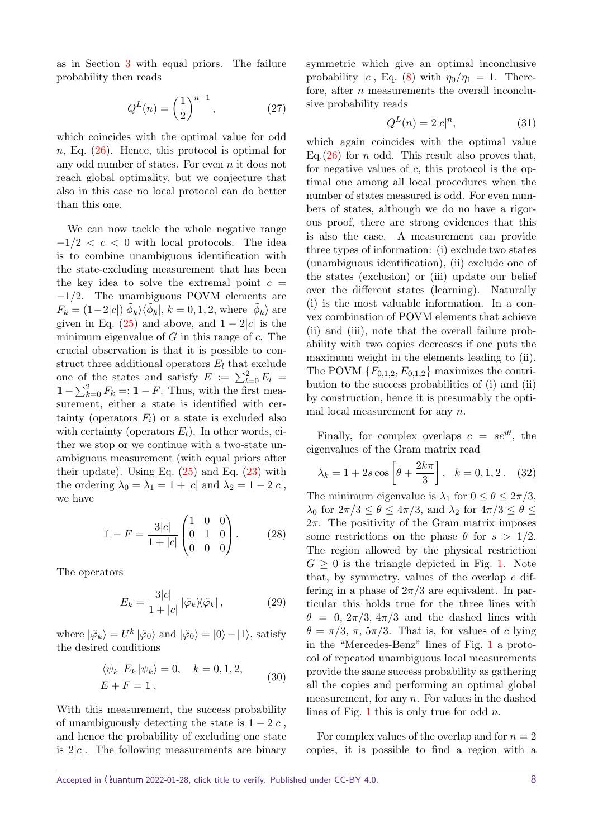as in Section [3](#page-3-0) with equal priors. The failure probability then reads

$$
Q^{L}(n) = \left(\frac{1}{2}\right)^{n-1},\tag{27}
$$

which coincides with the optimal value for odd *n*, Eq. [\(26\)](#page-6-0). Hence, this protocol is optimal for any odd number of states. For even *n* it does not reach global optimality, but we conjecture that also in this case no local protocol can do better than this one.

We can now tackle the whole negative range  $-1/2 < c < 0$  with local protocols. The idea is to combine unambiguous identification with the state-excluding measurement that has been the key idea to solve the extremal point  $c =$ −1*/*2. The unambiguous POVM elements are  $F_k = (1-2|c|)|\tilde{\phi}_k\rangle\langle\tilde{\phi}_k|, k = 0, 1, 2$ , where  $|\tilde{\phi}_k\rangle$  are given in Eq.  $(25)$  and above, and  $1 - 2|c|$  is the minimum eigenvalue of *G* in this range of *c*. The crucial observation is that it is possible to construct three additional operators  $E_l$  that exclude one of the states and satisfy  $E := \sum_{l=0}^{2} E_l =$  $1 - \sum_{k=0}^{2} F_k = 1 - F$ . Thus, with the first measurement, either a state is identified with certainty (operators  $F_i$ ) or a state is excluded also with certainty (operators  $E_l$ ). In other words, either we stop or we continue with a two-state unambiguous measurement (with equal priors after their update). Using Eq.  $(25)$  and Eq.  $(23)$  with the ordering  $\lambda_0 = \lambda_1 = 1 + |c|$  and  $\lambda_2 = 1 - 2|c|$ , we have

$$
\mathbb{1} - F = \frac{3|c|}{1+|c|} \begin{pmatrix} 1 & 0 & 0 \\ 0 & 1 & 0 \\ 0 & 0 & 0 \end{pmatrix} . \tag{28}
$$

The operators

$$
E_k = \frac{3|c|}{1+|c|} |\tilde{\varphi}_k\rangle\langle\tilde{\varphi}_k|, \qquad (29)
$$

where  $|\tilde{\varphi}_k\rangle = U^k |\tilde{\varphi}_0\rangle$  and  $|\tilde{\varphi}_0\rangle = |0\rangle - |1\rangle$ , satisfy the desired conditions

$$
\langle \psi_k | E_k | \psi_k \rangle = 0, \quad k = 0, 1, 2,
$$
  

$$
E + F = \mathbb{1}.
$$
 (30)

With this measurement, the success probability of unambiguously detecting the state is  $1 - 2|c|$ , and hence the probability of excluding one state is 2|*c*|. The following measurements are binary symmetric which give an optimal inconclusive probability  $|c|$ , Eq. [\(8\)](#page-3-3) with  $\eta_0/\eta_1 = 1$ . Therefore, after *n* measurements the overall inconclusive probability reads

$$
Q^L(n) = 2|c|^n,\tag{31}
$$

which again coincides with the optimal value Eq. $(26)$  for *n* odd. This result also proves that, for negative values of *c*, this protocol is the optimal one among all local procedures when the number of states measured is odd. For even numbers of states, although we do no have a rigorous proof, there are strong evidences that this is also the case. A measurement can provide three types of information: (i) exclude two states (unambiguous identification), (ii) exclude one of the states (exclusion) or (iii) update our belief over the different states (learning). Naturally (i) is the most valuable information. In a convex combination of POVM elements that achieve (ii) and (iii), note that the overall failure probability with two copies decreases if one puts the maximum weight in the elements leading to (ii). The POVM  ${F_{0,1,2}, E_{0,1,2}}$  maximizes the contribution to the success probabilities of (i) and (ii) by construction, hence it is presumably the optimal local measurement for any *n*.

Finally, for complex overlaps  $c = s e^{i\theta}$ , the eigenvalues of the Gram matrix read

$$
\lambda_k = 1 + 2s \cos \left[ \theta + \frac{2k\pi}{3} \right], \quad k = 0, 1, 2.
$$
 (32)

The minimum eigenvalue is  $\lambda_1$  for  $0 \le \theta \le 2\pi/3$ , *λ*<sup>0</sup> for  $2π/3 ≤ θ ≤ 4π/3$ , and  $λ_2$  for  $4π/3 ≤ θ ≤$  $2\pi$ . The positivity of the Gram matrix imposes some restrictions on the phase  $\theta$  for  $s > 1/2$ . The region allowed by the physical restriction  $G \geq 0$  is the triangle depicted in Fig. [1.](#page-8-0) Note that, by symmetry, values of the overlap *c* differing in a phase of  $2\pi/3$  are equivalent. In particular this holds true for the three lines with  $\theta = 0$ ,  $2\pi/3$ ,  $4\pi/3$  and the dashed lines with  $\theta = \pi/3$ ,  $\pi$ ,  $5\pi/3$ . That is, for values of *c* lying in the "Mercedes-Benz" lines of Fig. [1](#page-8-0) a protocol of repeated unambiguous local measurements provide the same success probability as gathering all the copies and performing an optimal global measurement, for any *n*. For values in the dashed lines of Fig. [1](#page-8-0) this is only true for odd *n*.

For complex values of the overlap and for  $n = 2$ copies, it is possible to find a region with a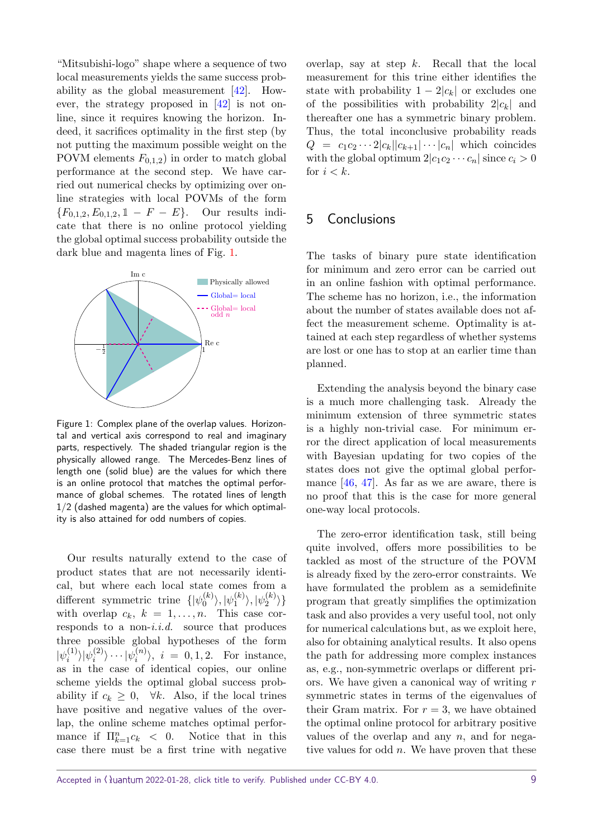"Mitsubishi-logo" shape where a sequence of two local measurements yields the same success probability as the global measurement [\[42\]](#page-11-3). However, the strategy proposed in [\[42\]](#page-11-3) is not online, since it requires knowing the horizon. Indeed, it sacrifices optimality in the first step (by not putting the maximum possible weight on the POVM elements  $F_{0,1,2}$  in order to match global performance at the second step. We have carried out numerical checks by optimizing over online strategies with local POVMs of the form  ${F_{0,1,2}, E_{0,1,2}, 1 - F - E}$ . Our results indicate that there is no online protocol yielding the global optimal success probability outside the dark blue and magenta lines of Fig. [1.](#page-8-0)

<span id="page-8-0"></span>

Figure 1: Complex plane of the overlap values. Horizontal and vertical axis correspond to real and imaginary parts, respectively. The shaded triangular region is the physically allowed range. The Mercedes-Benz lines of length one (solid blue) are the values for which there is an online protocol that matches the optimal performance of global schemes. The rotated lines of length 1/2 (dashed magenta) are the values for which optimality is also attained for odd numbers of copies.

Our results naturally extend to the case of product states that are not necessarily identical, but where each local state comes from a different symmetric trine  $\{\psi_0^{(k)}\}$  $\ket{\psi_0^{(k)}}, \ket{\psi_1^{(k)}}$  $|\psi_1^{(k)}\rangle,|\psi_2^{(k)}\rangle$  $\binom{\kappa}{2}$ with overlap  $c_k$ ,  $k = 1, \ldots, n$ . This case corresponds to a non-i.i.d. source that produces three possible global hypotheses of the form  $|\psi_i^{(1)}\>$  $\langle i^{(1)} \rangle |\psi_i^{(2)}$  $|\psi_i^{(2)}\rangle\cdots|\psi_i^{(n)}\rangle$  $\langle i^{(n)} \rangle$ ,  $i = 0, 1, 2$ . For instance, as in the case of identical copies, our online scheme yields the optimal global success probability if  $c_k \geq 0$ ,  $\forall k$ . Also, if the local trines have positive and negative values of the overlap, the online scheme matches optimal performance if  $\prod_{k=1}^{n} c_k$  < 0. Notice that in this case there must be a first trine with negative overlap, say at step *k*. Recall that the local measurement for this trine either identifies the state with probability  $1 - 2|c_k|$  or excludes one of the possibilities with probability  $2|c_k|$  and thereafter one has a symmetric binary problem. Thus, the total inconclusive probability reads  $Q = c_1 c_2 \cdots 2|c_k||c_{k+1}|\cdots|c_n|$  which coincides with the global optimum  $2|c_1c_2 \cdots c_n|$  since  $c_i > 0$ for  $i < k$ .

## 5 Conclusions

The tasks of binary pure state identification for minimum and zero error can be carried out in an online fashion with optimal performance. The scheme has no horizon, i.e., the information about the number of states available does not affect the measurement scheme. Optimality is attained at each step regardless of whether systems are lost or one has to stop at an earlier time than planned.

Extending the analysis beyond the binary case is a much more challenging task. Already the minimum extension of three symmetric states is a highly non-trivial case. For minimum error the direct application of local measurements with Bayesian updating for two copies of the states does not give the optimal global performance [\[46,](#page-11-7) [47\]](#page-11-8). As far as we are aware, there is no proof that this is the case for more general one-way local protocols.

The zero-error identification task, still being quite involved, offers more possibilities to be tackled as most of the structure of the POVM is already fixed by the zero-error constraints. We have formulated the problem as a semidefinite program that greatly simplifies the optimization task and also provides a very useful tool, not only for numerical calculations but, as we exploit here, also for obtaining analytical results. It also opens the path for addressing more complex instances as, e.g., non-symmetric overlaps or different priors. We have given a canonical way of writing *r* symmetric states in terms of the eigenvalues of their Gram matrix. For  $r = 3$ , we have obtained the optimal online protocol for arbitrary positive values of the overlap and any *n*, and for negative values for odd *n*. We have proven that these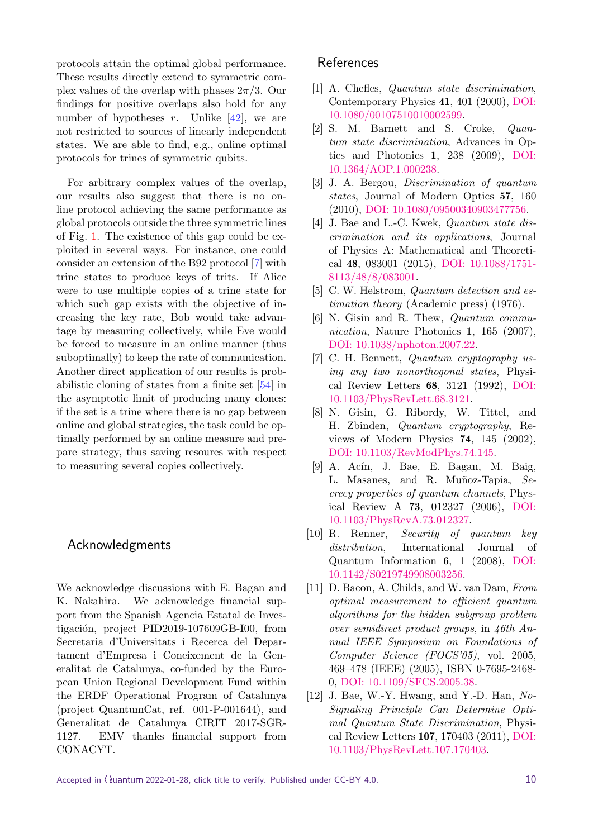protocols attain the optimal global performance. These results directly extend to symmetric complex values of the overlap with phases 2*π/*3. Our findings for positive overlaps also hold for any number of hypotheses  $r$ . Unlike  $[42]$ , we are not restricted to sources of linearly independent states. We are able to find, e.g., online optimal protocols for trines of symmetric qubits.

For arbitrary complex values of the overlap, our results also suggest that there is no online protocol achieving the same performance as global protocols outside the three symmetric lines of Fig. [1.](#page-8-0) The existence of this gap could be exploited in several ways. For instance, one could consider an extension of the B92 protocol [\[7\]](#page-9-4) with trine states to produce keys of trits. If Alice were to use multiple copies of a trine state for which such gap exists with the objective of increasing the key rate, Bob would take advantage by measuring collectively, while Eve would be forced to measure in an online manner (thus suboptimally) to keep the rate of communication. Another direct application of our results is probabilistic cloning of states from a finite set [\[54\]](#page-12-0) in the asymptotic limit of producing many clones: if the set is a trine where there is no gap between online and global strategies, the task could be optimally performed by an online measure and prepare strategy, thus saving resoures with respect to measuring several copies collectively.

### Acknowledgments

We acknowledge discussions with E. Bagan and K. Nakahira. We acknowledge financial support from the Spanish Agencia Estatal de Investigación, project PID2019-107609GB-I00, from Secretaria d'Universitats i Recerca del Departament d'Empresa i Coneixement de la Generalitat de Catalunya, co-funded by the European Union Regional Development Fund within the ERDF Operational Program of Catalunya (project QuantumCat, ref. 001-P-001644), and Generalitat de Catalunya CIRIT 2017-SGR-1127. EMV thanks financial support from CONACYT.

## References

- <span id="page-9-0"></span>[1] A. Chefles, Quantum state discrimination, Contemporary Physics 41, 401 (2000), [DOI:](https://doi.org/10.1080/00107510010002599) [10.1080/00107510010002599.](https://doi.org/10.1080/00107510010002599)
- [2] S. M. Barnett and S. Croke, Quantum state discrimination, Advances in Optics and Photonics 1, 238 (2009), [DOI:](https://doi.org/10.1364/AOP.1.000238) [10.1364/AOP.1.000238.](https://doi.org/10.1364/AOP.1.000238)
- <span id="page-9-8"></span>[3] J. A. Bergou, Discrimination of quantum states, Journal of Modern Optics 57, 160 (2010), [DOI: 10.1080/09500340903477756.](https://doi.org/10.1080/09500340903477756)
- <span id="page-9-1"></span>[4] J. Bae and L.-C. Kwek, *Quantum state dis*crimination and its applications, Journal of Physics A: Mathematical and Theoretical 48, 083001 (2015), [DOI: 10.1088/1751-](https://doi.org/10.1088/1751-8113/48/8/083001) [8113/48/8/083001.](https://doi.org/10.1088/1751-8113/48/8/083001)
- <span id="page-9-2"></span>[5] C. W. Helstrom, *Quantum detection and es*timation theory (Academic press) (1976).
- <span id="page-9-3"></span>[6] N. Gisin and R. Thew, Quantum communication, Nature Photonics 1, 165 (2007), [DOI: 10.1038/nphoton.2007.22.](https://doi.org/10.1038/nphoton.2007.22)
- <span id="page-9-4"></span>[7] C. H. Bennett, Quantum cryptography using any two nonorthogonal states, Physical Review Letters 68, 3121 (1992), [DOI:](https://doi.org/10.1103/PhysRevLett.68.3121) [10.1103/PhysRevLett.68.3121.](https://doi.org/10.1103/PhysRevLett.68.3121)
- [8] N. Gisin, G. Ribordy, W. Tittel, and H. Zbinden, Quantum cryptography, Reviews of Modern Physics 74, 145 (2002), [DOI: 10.1103/RevModPhys.74.145.](https://doi.org/10.1103/RevModPhys.74.145)
- $[9]$  A. Acín, J. Bae, E. Bagan, M. Baig, L. Masanes, and R. Muñoz-Tapia, Secrecy properties of quantum channels, Physical Review A 73, 012327 (2006), [DOI:](https://doi.org/10.1103/PhysRevA.73.012327) [10.1103/PhysRevA.73.012327.](https://doi.org/10.1103/PhysRevA.73.012327)
- <span id="page-9-5"></span>[10] R. Renner, Security of quantum key distribution, International Journal of Quantum Information 6, 1 (2008), [DOI:](https://doi.org/10.1142/S0219749908003256) [10.1142/S0219749908003256.](https://doi.org/10.1142/S0219749908003256)
- <span id="page-9-6"></span>[11] D. Bacon, A. Childs, and W. van Dam, From optimal measurement to efficient quantum algorithms for the hidden subgroup problem over semidirect product groups, in 46th Annual IEEE Symposium on Foundations of Computer Science (FOCS'05), vol. 2005, 469–478 (IEEE) (2005), ISBN 0-7695-2468- 0, [DOI: 10.1109/SFCS.2005.38.](https://doi.org/10.1109/SFCS.2005.38)
- <span id="page-9-7"></span>[12] J. Bae, W.-Y. Hwang, and Y.-D. Han, No-Signaling Principle Can Determine Optimal Quantum State Discrimination, Physical Review Letters 107, 170403 (2011), [DOI:](https://doi.org/10.1103/PhysRevLett.107.170403) [10.1103/PhysRevLett.107.170403.](https://doi.org/10.1103/PhysRevLett.107.170403)

Accepted in  $\lambda$ uantum 2022-01-28, click title to verify. Published under CC-BY 4.0. 10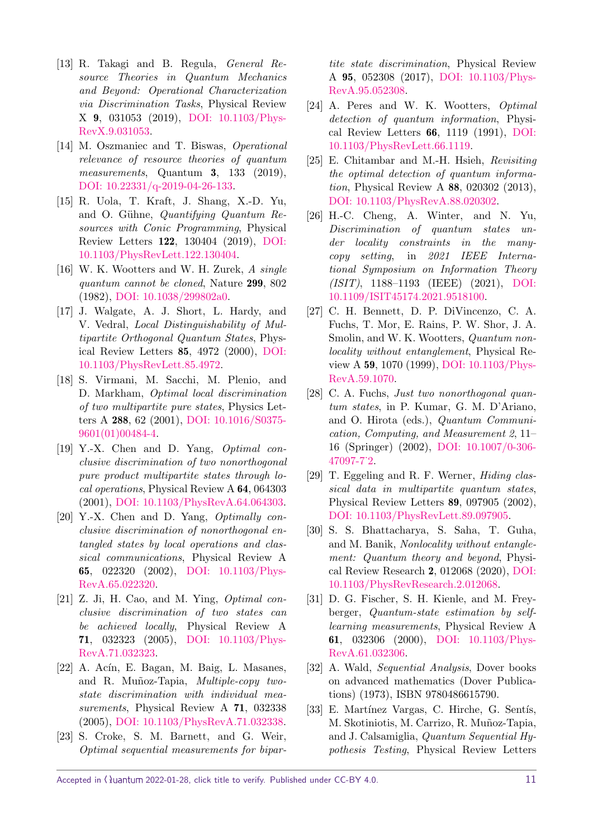- [13] R. Takagi and B. Regula, General Resource Theories in Quantum Mechanics and Beyond: Operational Characterization via Discrimination Tasks, Physical Review X 9, 031053 (2019), [DOI: 10.1103/Phys-](https://doi.org/10.1103/PhysRevX.9.031053)[RevX.9.031053.](https://doi.org/10.1103/PhysRevX.9.031053)
- [14] M. Oszmaniec and T. Biswas, Operational relevance of resource theories of quantum measurements, Quantum 3, 133 (2019), [DOI: 10.22331/q-2019-04-26-133.](https://doi.org/10.22331/q-2019-04-26-133)
- <span id="page-10-0"></span>[15] R. Uola, T. Kraft, J. Shang, X.-D. Yu, and O. Gühne, *Quantifying Quantum Re*sources with Conic Programming, Physical Review Letters 122, 130404 (2019), [DOI:](https://doi.org/10.1103/PhysRevLett.122.130404) [10.1103/PhysRevLett.122.130404.](https://doi.org/10.1103/PhysRevLett.122.130404)
- <span id="page-10-1"></span>[16] W. K. Wootters and W. H. Zurek, A single quantum cannot be cloned, Nature 299, 802 (1982), [DOI: 10.1038/299802a0.](https://doi.org/10.1038/299802a0)
- <span id="page-10-2"></span>[17] J. Walgate, A. J. Short, L. Hardy, and V. Vedral, Local Distinguishability of Multipartite Orthogonal Quantum States, Physical Review Letters 85, 4972 (2000), [DOI:](https://doi.org/10.1103/PhysRevLett.85.4972) [10.1103/PhysRevLett.85.4972.](https://doi.org/10.1103/PhysRevLett.85.4972)
- [18] S. Virmani, M. Sacchi, M. Plenio, and D. Markham, Optimal local discrimination of two multipartite pure states, Physics Letters A 288, 62 (2001), [DOI: 10.1016/S0375-](https://doi.org/10.1016/S0375-9601(01)00484-4) [9601\(01\)00484-4.](https://doi.org/10.1016/S0375-9601(01)00484-4)
- <span id="page-10-12"></span>[19] Y.-X. Chen and D. Yang, Optimal conclusive discrimination of two nonorthogonal pure product multipartite states through local operations, Physical Review A 64, 064303 (2001), [DOI: 10.1103/PhysRevA.64.064303.](https://doi.org/10.1103/PhysRevA.64.064303)
- [20] Y.-X. Chen and D. Yang, *Optimally con*clusive discrimination of nonorthogonal entangled states by local operations and classical communications, Physical Review A 65, 022320 (2002), [DOI: 10.1103/Phys-](https://doi.org/10.1103/PhysRevA.65.022320)[RevA.65.022320.](https://doi.org/10.1103/PhysRevA.65.022320)
- <span id="page-10-13"></span>[21] Z. Ji, H. Cao, and M. Ying, *Optimal con*clusive discrimination of two states can be achieved locally, Physical Review A 71, 032323 (2005), [DOI: 10.1103/Phys-](https://doi.org/10.1103/PhysRevA.71.032323)[RevA.71.032323.](https://doi.org/10.1103/PhysRevA.71.032323)
- <span id="page-10-11"></span>[22] A. Acín, E. Bagan, M. Baig, L. Masanes, and R. Muñoz-Tapia, Multiple-copy twostate discrimination with individual measurements, Physical Review A 71, 032338 (2005), [DOI: 10.1103/PhysRevA.71.032338.](https://doi.org/10.1103/PhysRevA.71.032338)
- [23] S. Croke, S. M. Barnett, and G. Weir, Optimal sequential measurements for bipar-

tite state discrimination, Physical Review A 95, 052308 (2017), [DOI: 10.1103/Phys-](https://doi.org/10.1103/PhysRevA.95.052308)[RevA.95.052308.](https://doi.org/10.1103/PhysRevA.95.052308)

- <span id="page-10-14"></span>[24] A. Peres and W. K. Wootters, Optimal detection of quantum information, Physical Review Letters 66, 1119 (1991), [DOI:](https://doi.org/10.1103/PhysRevLett.66.1119) [10.1103/PhysRevLett.66.1119.](https://doi.org/10.1103/PhysRevLett.66.1119)
- <span id="page-10-15"></span>[25] E. Chitambar and M.-H. Hsieh, Revisiting the optimal detection of quantum information, Physical Review A 88, 020302 (2013), [DOI: 10.1103/PhysRevA.88.020302.](https://doi.org/10.1103/PhysRevA.88.020302)
- <span id="page-10-3"></span>[26] H.-C. Cheng, A. Winter, and N. Yu, Discrimination of quantum states under locality constraints in the manycopy setting, in 2021 IEEE International Symposium on Information Theory (ISIT), 1188–1193 (IEEE) (2021), [DOI:](https://doi.org/10.1109/ISIT45174.2021.9518100) [10.1109/ISIT45174.2021.9518100.](https://doi.org/10.1109/ISIT45174.2021.9518100)
- <span id="page-10-4"></span>[27] C. H. Bennett, D. P. DiVincenzo, C. A. Fuchs, T. Mor, E. Rains, P. W. Shor, J. A. Smolin, and W. K. Wootters, *Quantum non*locality without entanglement, Physical Review A 59, 1070 (1999), [DOI: 10.1103/Phys-](https://doi.org/10.1103/PhysRevA.59.1070)[RevA.59.1070.](https://doi.org/10.1103/PhysRevA.59.1070)
- <span id="page-10-5"></span>[28] C. A. Fuchs, *Just two nonorthogonal quan*tum states, in P. Kumar, G. M. D'Ariano, and O. Hirota (eds.), Quantum Communication, Computing, and Measurement 2, 11– 16 (Springer) (2002), [DOI: 10.1007/0-306-](https://doi.org/10.1007/0-306-47097-7_2) [47097-7˙2.](https://doi.org/10.1007/0-306-47097-7_2)
- <span id="page-10-6"></span>[29] T. Eggeling and R. F. Werner, Hiding classical data in multipartite quantum states, Physical Review Letters 89, 097905 (2002), [DOI: 10.1103/PhysRevLett.89.097905.](https://doi.org/10.1103/PhysRevLett.89.097905)
- <span id="page-10-7"></span>[30] S. S. Bhattacharya, S. Saha, T. Guha, and M. Banik, Nonlocality without entanglement: Quantum theory and beyond, Physical Review Research 2, 012068 (2020), [DOI:](https://doi.org/10.1103/PhysRevResearch.2.012068) [10.1103/PhysRevResearch.2.012068.](https://doi.org/10.1103/PhysRevResearch.2.012068)
- <span id="page-10-8"></span>[31] D. G. Fischer, S. H. Kienle, and M. Freyberger, Quantum-state estimation by selflearning measurements, Physical Review A 61, 032306 (2000), [DOI: 10.1103/Phys-](https://doi.org/10.1103/PhysRevA.61.032306)[RevA.61.032306.](https://doi.org/10.1103/PhysRevA.61.032306)
- <span id="page-10-9"></span>[32] A. Wald, Sequential Analysis, Dover books on advanced mathematics (Dover Publications) (1973), ISBN 9780486615790.
- <span id="page-10-10"></span>[33] E. Martínez Vargas, C. Hirche, G. Sentís, M. Skotiniotis, M. Carrizo, R. Muñoz-Tapia, and J. Calsamiglia, Quantum Sequential Hypothesis Testing, Physical Review Letters

Accepted in  $\lambda$ uantum 2022-01-28, click title to verify. Published under CC-BY 4.0. 11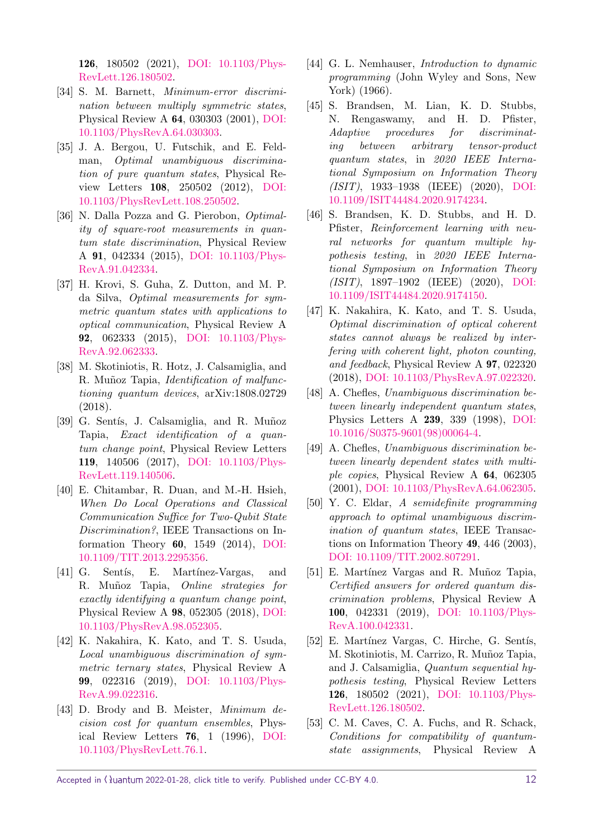126, 180502 (2021), [DOI: 10.1103/Phys-](https://doi.org/10.1103/PhysRevLett.126.180502)[RevLett.126.180502.](https://doi.org/10.1103/PhysRevLett.126.180502)

- <span id="page-11-0"></span>[34] S. M. Barnett, Minimum-error discrimination between multiply symmetric states, Physical Review A 64, 030303 (2001), [DOI:](https://doi.org/10.1103/PhysRevA.64.030303) [10.1103/PhysRevA.64.030303.](https://doi.org/10.1103/PhysRevA.64.030303)
- [35] J. A. Bergou, U. Futschik, and E. Feldman, Optimal unambiguous discrimination of pure quantum states, Physical Review Letters 108, 250502 (2012), [DOI:](https://doi.org/10.1103/PhysRevLett.108.250502) [10.1103/PhysRevLett.108.250502.](https://doi.org/10.1103/PhysRevLett.108.250502)
- [36] N. Dalla Pozza and G. Pierobon, Optimality of square-root measurements in quantum state discrimination, Physical Review A 91, 042334 (2015), [DOI: 10.1103/Phys-](https://doi.org/10.1103/PhysRevA.91.042334)[RevA.91.042334.](https://doi.org/10.1103/PhysRevA.91.042334)
- [37] H. Krovi, S. Guha, Z. Dutton, and M. P. da Silva, Optimal measurements for symmetric quantum states with applications to optical communication, Physical Review A 92, 062333 (2015), [DOI: 10.1103/Phys-](https://doi.org/10.1103/PhysRevA.92.062333)[RevA.92.062333.](https://doi.org/10.1103/PhysRevA.92.062333)
- <span id="page-11-13"></span>[38] M. Skotiniotis, R. Hotz, J. Calsamiglia, and R. Muñoz Tapia, *Identification of malfunc*tioning quantum devices, arXiv:1808.02729 (2018).
- <span id="page-11-1"></span>[39] G. Sentís, J. Calsamiglia, and R. Muñoz Tapia, Exact identification of a quantum change point, Physical Review Letters 119, 140506 (2017), [DOI: 10.1103/Phys-](https://doi.org/10.1103/PhysRevLett.119.140506)[RevLett.119.140506.](https://doi.org/10.1103/PhysRevLett.119.140506)
- <span id="page-11-2"></span>[40] E. Chitambar, R. Duan, and M.-H. Hsieh, When Do Local Operations and Classical Communication Suffice for Two-Qubit State Discrimination?, IEEE Transactions on Information Theory 60, 1549 (2014), [DOI:](https://doi.org/10.1109/TIT.2013.2295356) [10.1109/TIT.2013.2295356.](https://doi.org/10.1109/TIT.2013.2295356)
- [41] G. Sentis, E. Martínez-Vargas, and R. Muñoz Tapia, *Online strategies for* exactly identifying a quantum change point, Physical Review A 98, 052305 (2018), [DOI:](https://doi.org/10.1103/PhysRevA.98.052305) [10.1103/PhysRevA.98.052305.](https://doi.org/10.1103/PhysRevA.98.052305)
- <span id="page-11-3"></span>[42] K. Nakahira, K. Kato, and T. S. Usuda, Local unambiguous discrimination of symmetric ternary states, Physical Review A 99, 022316 (2019), [DOI: 10.1103/Phys-](https://doi.org/10.1103/PhysRevA.99.022316)[RevA.99.022316.](https://doi.org/10.1103/PhysRevA.99.022316)
- <span id="page-11-4"></span>[43] D. Brody and B. Meister, Minimum decision cost for quantum ensembles, Physical Review Letters 76, 1 (1996), [DOI:](https://doi.org/10.1103/PhysRevLett.76.1) [10.1103/PhysRevLett.76.1.](https://doi.org/10.1103/PhysRevLett.76.1)
- <span id="page-11-5"></span>[44] G. L. Nemhauser, Introduction to dynamic programming (John Wyley and Sons, New York) (1966).
- <span id="page-11-6"></span>[45] S. Brandsen, M. Lian, K. D. Stubbs, N. Rengaswamy, and H. D. Pfister, Adaptive procedures for discriminating between arbitrary tensor-product quantum states, in 2020 IEEE International Symposium on Information Theory (ISIT), 1933–1938 (IEEE) (2020), [DOI:](https://doi.org/10.1109/ISIT44484.2020.9174234) [10.1109/ISIT44484.2020.9174234.](https://doi.org/10.1109/ISIT44484.2020.9174234)
- <span id="page-11-7"></span>[46] S. Brandsen, K. D. Stubbs, and H. D. Pfister, Reinforcement learning with neural networks for quantum multiple hypothesis testing, in 2020 IEEE International Symposium on Information Theory (ISIT), 1897–1902 (IEEE) (2020), [DOI:](https://doi.org/10.1109/ISIT44484.2020.9174150) [10.1109/ISIT44484.2020.9174150.](https://doi.org/10.1109/ISIT44484.2020.9174150)
- <span id="page-11-8"></span>[47] K. Nakahira, K. Kato, and T. S. Usuda, Optimal discrimination of optical coherent states cannot always be realized by interfering with coherent light, photon counting, and feedback, Physical Review A 97, 022320 (2018), [DOI: 10.1103/PhysRevA.97.022320.](https://doi.org/10.1103/PhysRevA.97.022320)
- <span id="page-11-9"></span>[48] A. Chefles, Unambiguous discrimination between linearly independent quantum states, Physics Letters A 239, 339 (1998), [DOI:](https://doi.org/10.1016/S0375-9601(98)00064-4) [10.1016/S0375-9601\(98\)00064-4.](https://doi.org/10.1016/S0375-9601(98)00064-4)
- <span id="page-11-10"></span>[49] A. Chefles, Unambiguous discrimination between linearly dependent states with multiple copies, Physical Review A 64, 062305 (2001), [DOI: 10.1103/PhysRevA.64.062305.](https://doi.org/10.1103/PhysRevA.64.062305)
- <span id="page-11-11"></span>[50] Y. C. Eldar, A semidefinite programming approach to optimal unambiguous discrimination of quantum states, IEEE Transactions on Information Theory 49, 446 (2003), [DOI: 10.1109/TIT.2002.807291.](https://doi.org/10.1109/TIT.2002.807291)
- <span id="page-11-12"></span>[51] E. Martínez Vargas and R. Muñoz Tapia, Certified answers for ordered quantum discrimination problems, Physical Review A 100, 042331 (2019), [DOI: 10.1103/Phys-](https://doi.org/10.1103/PhysRevA.100.042331)[RevA.100.042331.](https://doi.org/10.1103/PhysRevA.100.042331)
- <span id="page-11-14"></span>[52] E. Martínez Vargas, C. Hirche, G. Sentís, M. Skotiniotis, M. Carrizo, R. Muñoz Tapia, and J. Calsamiglia, Quantum sequential hypothesis testing, Physical Review Letters 126, 180502 (2021), [DOI: 10.1103/Phys-](https://doi.org/10.1103/PhysRevLett.126.180502)[RevLett.126.180502.](https://doi.org/10.1103/PhysRevLett.126.180502)
- <span id="page-11-15"></span>[53] C. M. Caves, C. A. Fuchs, and R. Schack, Conditions for compatibility of quantumstate assignments, Physical Review A

Accepted in  $\lambda$ uantum 2022-01-28, click title to verify. Published under CC-BY 4.0. 12